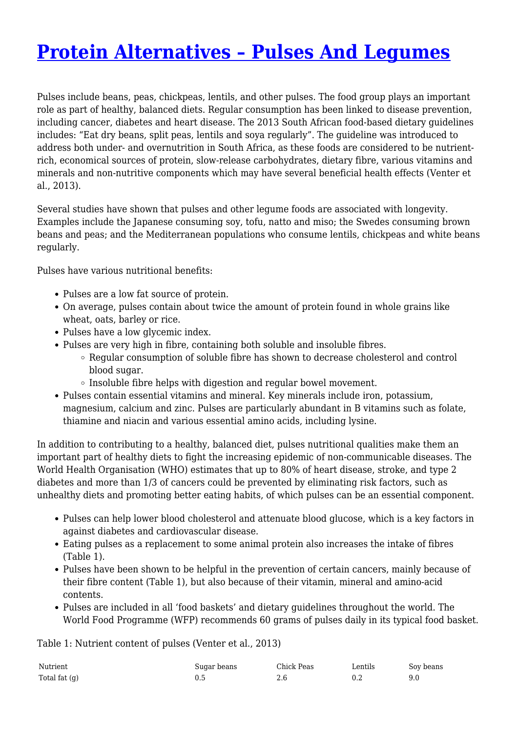# **[Protein Alternatives – Pulses And Legumes](http://foodfacts.org.za/protein-alternatives-pulses-and-legumes/)**

Pulses include beans, peas, chickpeas, lentils, and other pulses. The food group plays an important role as part of healthy, balanced diets. Regular consumption has been linked to disease prevention, including cancer, diabetes and heart disease. The 2013 South African food-based dietary guidelines includes: "Eat dry beans, split peas, lentils and soya regularly". The guideline was introduced to address both under- and overnutrition in South Africa, as these foods are considered to be nutrientrich, economical sources of protein, slow-release carbohydrates, dietary fibre, various vitamins and minerals and non-nutritive components which may have several beneficial health effects (Venter et al., 2013).

Several studies have shown that pulses and other legume foods are associated with longevity. Examples include the Japanese consuming soy, tofu, natto and miso; the Swedes consuming brown beans and peas; and the Mediterranean populations who consume lentils, chickpeas and white beans regularly.

Pulses have various nutritional benefits:

- Pulses are a low fat source of protein.
- On average, pulses contain about twice the amount of protein found in whole grains like wheat, oats, barley or rice.
- Pulses have a low glycemic index.
- Pulses are very high in fibre, containing both soluble and insoluble fibres.
	- Regular consumption of soluble fibre has shown to decrease cholesterol and control blood sugar.
	- $\circ$  Insoluble fibre helps with digestion and regular bowel movement.
- Pulses contain essential vitamins and mineral. Key minerals include iron, potassium, magnesium, calcium and zinc. Pulses are particularly abundant in B vitamins such as folate, thiamine and niacin and various essential amino acids, including lysine.

In addition to contributing to a healthy, balanced diet, pulses nutritional qualities make them an important part of healthy diets to fight the increasing epidemic of non-communicable diseases. The World Health Organisation (WHO) estimates that up to 80% of heart disease, stroke, and type 2 diabetes and more than 1/3 of cancers could be prevented by eliminating risk factors, such as unhealthy diets and promoting better eating habits, of which pulses can be an essential component.

- Pulses can help lower blood cholesterol and attenuate blood glucose, which is a key factors in against diabetes and cardiovascular disease.
- Eating pulses as a replacement to some animal protein also increases the intake of fibres (Table 1).
- Pulses have been shown to be helpful in the prevention of certain cancers, mainly because of their fibre content (Table 1), but also because of their vitamin, mineral and amino-acid contents.
- Pulses are included in all 'food baskets' and dietary guidelines throughout the world. The World Food Programme (WFP) recommends 60 grams of pulses daily in its typical food basket.

Table 1: Nutrient content of pulses (Venter et al., 2013)

| Nutrient        | Sugar beans | Chick Peas | ∟entils | Soy beans |
|-----------------|-------------|------------|---------|-----------|
| Total fat $(q)$ |             | 2.6        |         |           |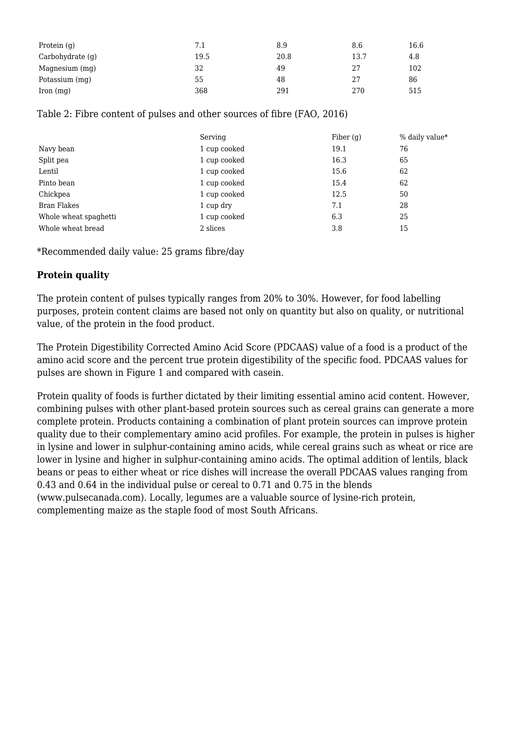| Protein $(q)$        | 7.1  | 8.9  | 8.6  | 16.6 |
|----------------------|------|------|------|------|
| Carbohydrate (g)     | 19.5 | 20.8 | 13.7 | 4.8  |
| Magnesium (mg)       | 32   | 49   | 27   | 102  |
| Potassium (mg)       | 55   | 48   | 27   | 86   |
| $\Gamma$ Iron $(mq)$ | 368  | 291  | 270  | 515  |

### Table 2: Fibre content of pulses and other sources of fibre (FAO, 2016)

|                       | Serving      | Fiber $(g)$ | % daily value* |
|-----------------------|--------------|-------------|----------------|
| Navy bean             | 1 cup cooked | 19.1        | 76             |
| Split pea             | 1 cup cooked | 16.3        | 65             |
| Lentil                | 1 cup cooked | 15.6        | 62             |
| Pinto bean            | 1 cup cooked | 15.4        | 62             |
| Chickpea              | 1 cup cooked | 12.5        | 50             |
| Bran Flakes           | 1 cup dry    | 7.1         | 28             |
| Whole wheat spaghetti | 1 cup cooked | 6.3         | 25             |
| Whole wheat bread     | 2 slices     | 3.8         | 15             |

\*Recommended daily value: 25 grams fibre/day

## **Protein quality**

The protein content of pulses typically ranges from 20% to 30%. However, for food labelling purposes, protein content claims are based not only on quantity but also on quality, or nutritional value, of the protein in the food product.

The Protein Digestibility Corrected Amino Acid Score (PDCAAS) value of a food is a product of the amino acid score and the percent true protein digestibility of the specific food. PDCAAS values for pulses are shown in Figure 1 and compared with casein.

Protein quality of foods is further dictated by their limiting essential amino acid content. However, combining pulses with other plant-based protein sources such as cereal grains can generate a more complete protein. Products containing a combination of plant protein sources can improve protein quality due to their complementary amino acid profiles. For example, the protein in pulses is higher in lysine and lower in sulphur-containing amino acids, while cereal grains such as wheat or rice are lower in lysine and higher in sulphur-containing amino acids. The optimal addition of lentils, black beans or peas to either wheat or rice dishes will increase the overall PDCAAS values ranging from 0.43 and 0.64 in the individual pulse or cereal to 0.71 and 0.75 in the blends (www.pulsecanada.com). Locally, legumes are a valuable source of lysine-rich protein, complementing maize as the staple food of most South Africans.